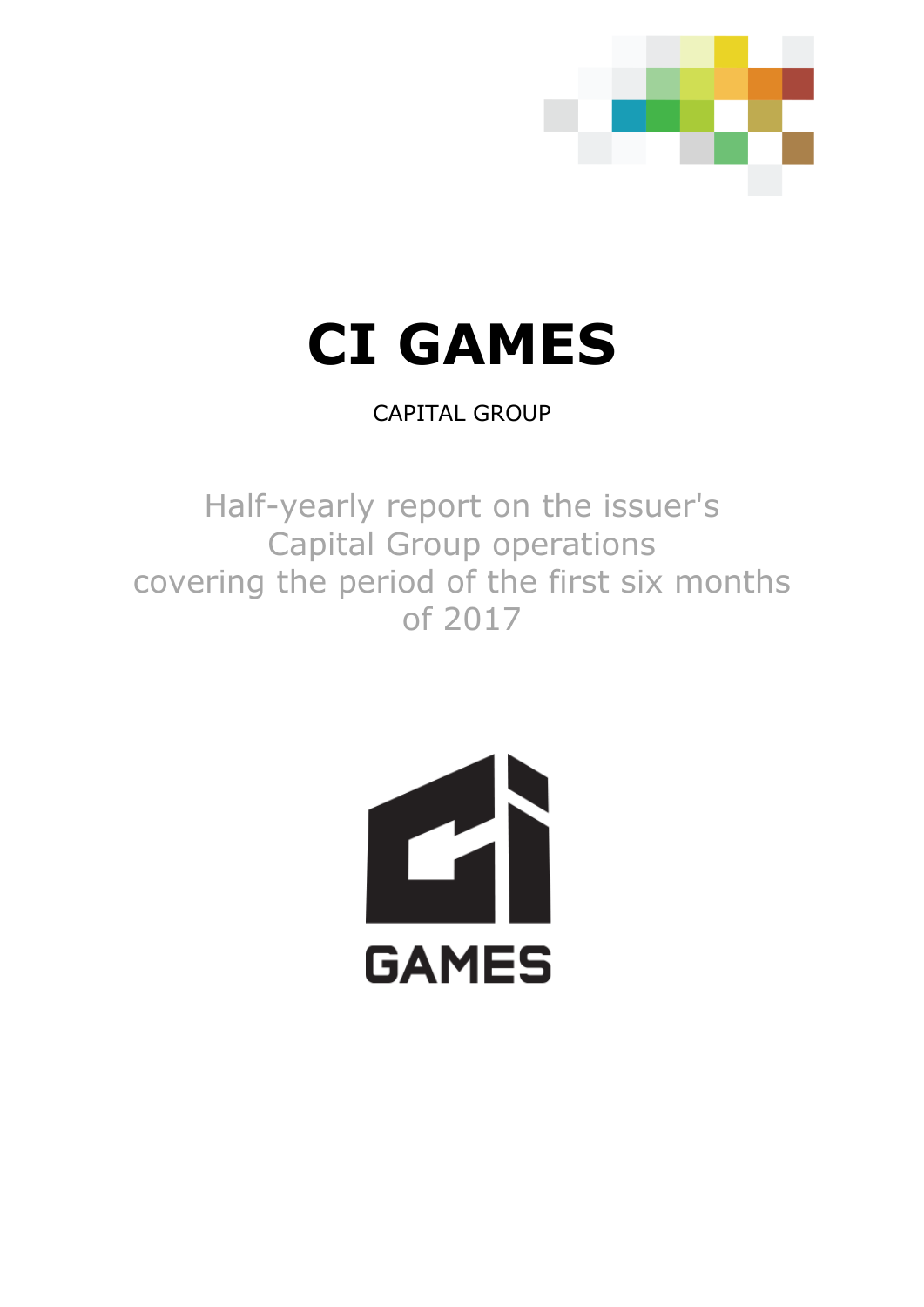

# **CI GAMES**

CAPITAL GROUP

Half-yearly report on the issuer's Capital Group operations covering the period of the first six months of 2017

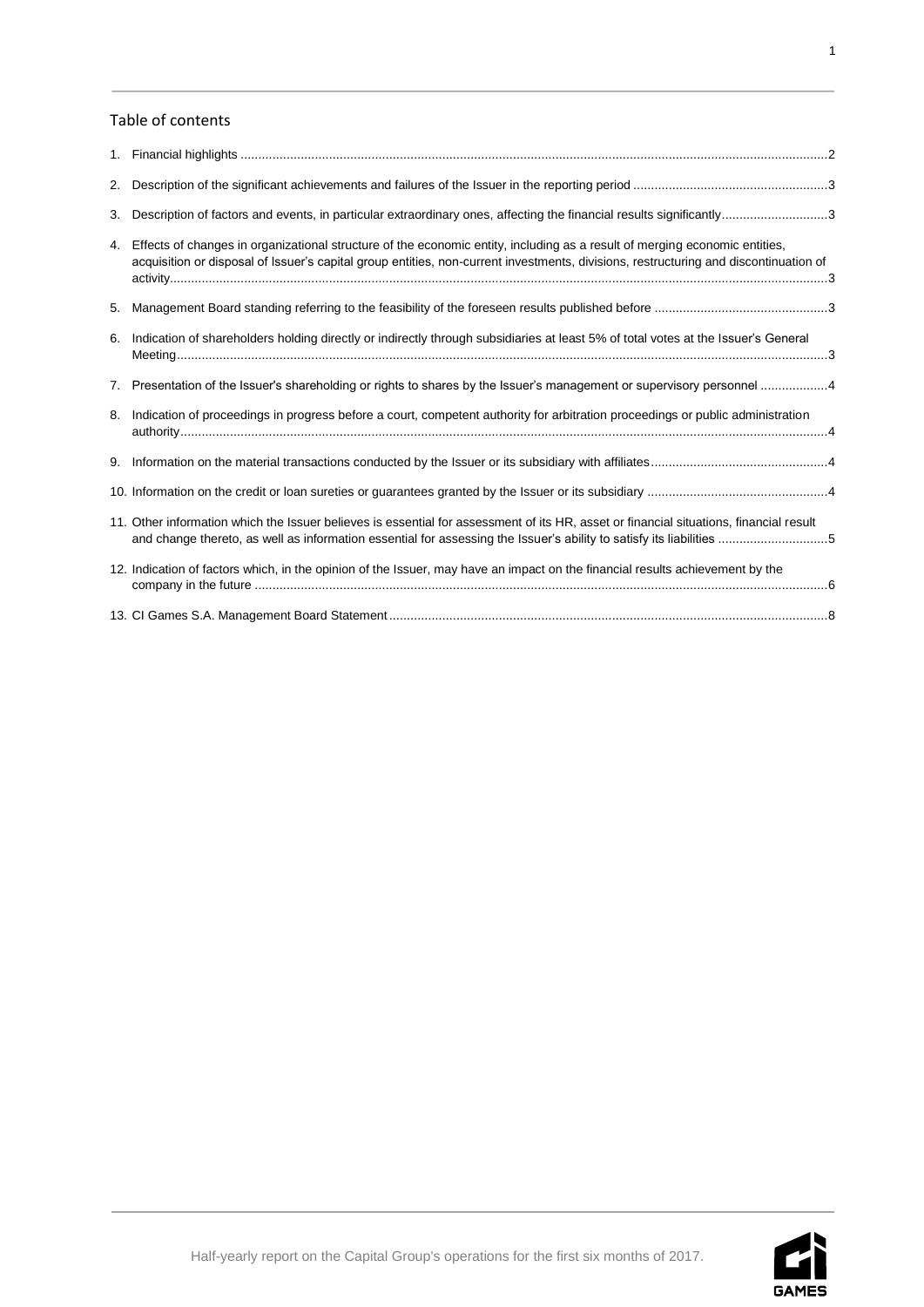# Table of contents

| 2. |                                                                                                                                                                                                                                                                                                                                                                    |  |
|----|--------------------------------------------------------------------------------------------------------------------------------------------------------------------------------------------------------------------------------------------------------------------------------------------------------------------------------------------------------------------|--|
| 3. | Description of factors and events, in particular extraordinary ones, affecting the financial results significantly3                                                                                                                                                                                                                                                |  |
| 4. | Effects of changes in organizational structure of the economic entity, including as a result of merging economic entities,<br>acquisition or disposal of Issuer's capital group entities, non-current investments, divisions, restructuring and discontinuation of                                                                                                 |  |
| 5. |                                                                                                                                                                                                                                                                                                                                                                    |  |
| 6. | Indication of shareholders holding directly or indirectly through subsidiaries at least 5% of total votes at the Issuer's General                                                                                                                                                                                                                                  |  |
|    | 7. Presentation of the Issuer's shareholding or rights to shares by the Issuer's management or supervisory personnel 4                                                                                                                                                                                                                                             |  |
| 8. | Indication of proceedings in progress before a court, competent authority for arbitration proceedings or public administration                                                                                                                                                                                                                                     |  |
| 9. |                                                                                                                                                                                                                                                                                                                                                                    |  |
|    |                                                                                                                                                                                                                                                                                                                                                                    |  |
|    | 11. Other information which the Issuer believes is essential for assessment of its HR, asset or financial situations, financial result<br>and change thereto, as well as information essential for assessing the Issuer's ability to satisfy its liabilities 5                                                                                                     |  |
|    | 12. Indication of factors which, in the opinion of the Issuer, may have an impact on the financial results achievement by the                                                                                                                                                                                                                                      |  |
|    | $\overline{10}$ $\overline{0}$ $\overline{10}$ $\overline{10}$ $\overline{10}$ $\overline{10}$ $\overline{10}$ $\overline{10}$ $\overline{10}$ $\overline{10}$ $\overline{10}$ $\overline{10}$ $\overline{10}$ $\overline{10}$ $\overline{10}$ $\overline{10}$ $\overline{10}$ $\overline{10}$ $\overline{10}$ $\overline{10}$ $\overline{10}$ $\overline{10}$ $\$ |  |

13. CI Games S.A. Management Board Statement [............................................................................................................................8](#page-8-0)

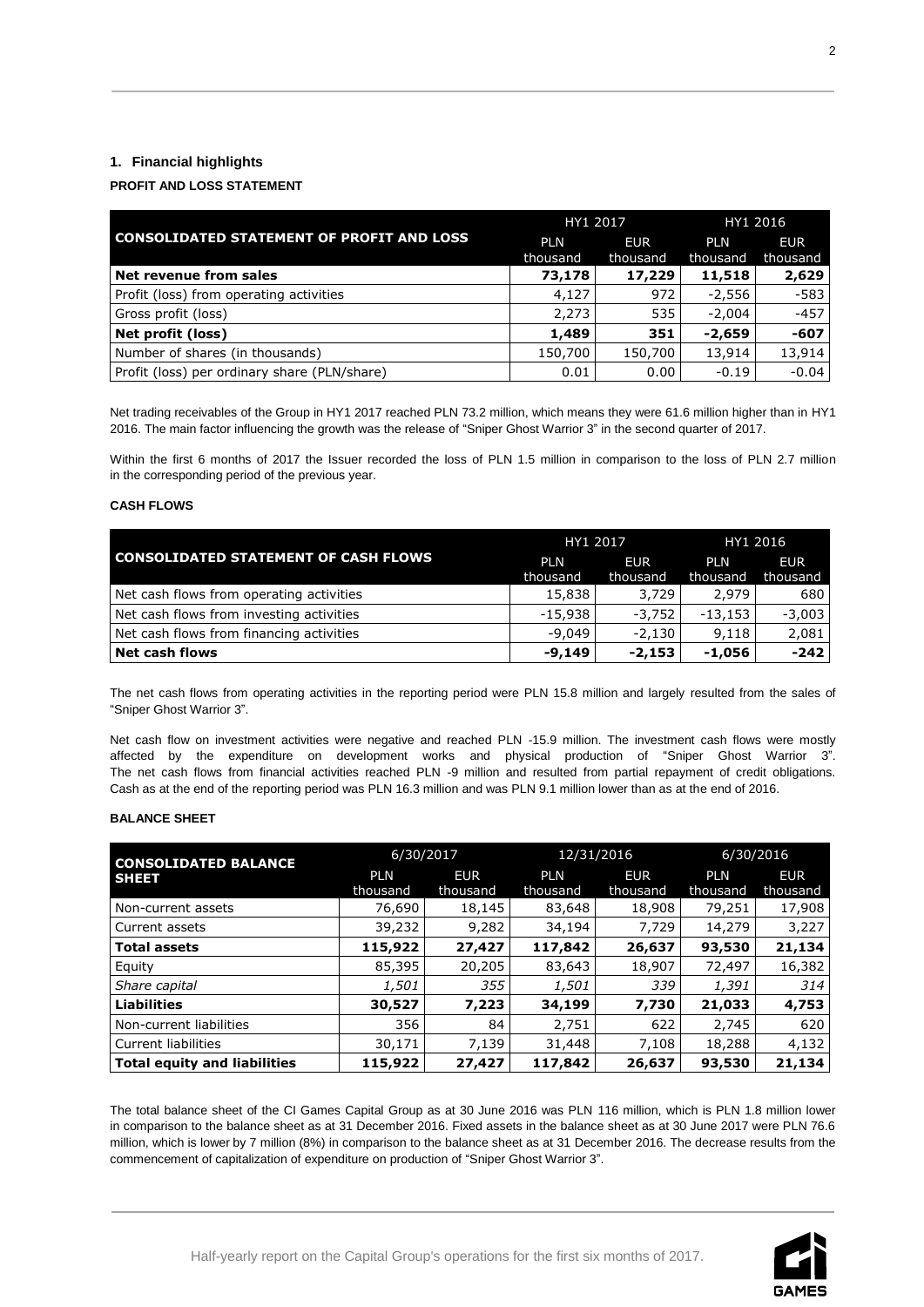# <span id="page-2-0"></span>**1. Financial highlights**

# **PROFIT AND LOSS STATEMENT**

|                                                  | HY1 2017               |                        | HY1 2016               |                        |
|--------------------------------------------------|------------------------|------------------------|------------------------|------------------------|
| <b>CONSOLIDATED STATEMENT OF PROFIT AND LOSS</b> | <b>PLN</b><br>thousand | <b>EUR</b><br>thousand | <b>PLN</b><br>thousand | <b>EUR</b><br>thousand |
| Net revenue from sales                           | 73,178                 | 17,229                 | 11,518                 | 2,629                  |
| Profit (loss) from operating activities          | 4.127                  | 972                    | -2,556                 | $-583$                 |
| Gross profit (loss)                              | 2,273                  | 535                    | $-2,004$               | $-457$                 |
| Net profit (loss)                                | 1,489                  | 351                    | $-2,659$               | $-607$                 |
| Number of shares (in thousands)                  | 150,700                | 150,700                | 13,914                 | 13,914                 |
| Profit (loss) per ordinary share (PLN/share)     | 0.01                   | 0.00                   | $-0.19$                | $-0.04$                |

Net trading receivables of the Group in HY1 2017 reached PLN 73.2 million, which means they were 61.6 million higher than in HY1 2016. The main factor influencing the growth was the release of "Sniper Ghost Warrior 3" in the second quarter of 2017.

Within the first 6 months of 2017 the Issuer recorded the loss of PLN 1.5 million in comparison to the loss of PLN 2.7 million in the corresponding period of the previous year.

## **CASH FLOWS**

|                                             | HY1 2017   |            | HY1 2016   |            |
|---------------------------------------------|------------|------------|------------|------------|
| <b>CONSOLIDATED STATEMENT OF CASH FLOWS</b> | <b>PLN</b> | <b>EUR</b> | <b>PIN</b> | <b>EUR</b> |
|                                             | thousand   | thousand   | thousand   | thousand   |
| Net cash flows from operating activities    | 15,838     | 3,729      | 2.979      | 680        |
| Net cash flows from investing activities    | $-15,938$  | $-3.752$   | $-13,153$  | $-3,003$   |
| Net cash flows from financing activities    | $-9.049$   | $-2.130$   | 9,118      | 2,081      |
| <b>Net cash flows</b>                       | $-9.149$   | -2,153     | $-1,056$   | $-242$     |

The net cash flows from operating activities in the reporting period were PLN 15.8 million and largely resulted from the sales of "Sniper Ghost Warrior 3".

Net cash flow on investment activities were negative and reached PLN -15.9 million. The investment cash flows were mostly affected by the expenditure on development works and physical production of "Sniper Ghost Warrior 3". The net cash flows from financial activities reached PLN -9 million and resulted from partial repayment of credit obligations. Cash as at the end of the reporting period was PLN 16.3 million and was PLN 9.1 million lower than as at the end of 2016.

### **BALANCE SHEET**

| <b>CONSOLIDATED BALANCE</b>         | 6/30/2017  |            | 12/31/2016 |            | 6/30/2016  |            |
|-------------------------------------|------------|------------|------------|------------|------------|------------|
| <b>SHEET</b>                        | <b>PLN</b> | <b>EUR</b> | <b>PLN</b> | <b>EUR</b> | <b>PLN</b> | <b>EUR</b> |
|                                     | thousand   | thousand   | thousand   | thousand   | thousand   | thousand   |
| Non-current assets                  | 76,690     | 18,145     | 83,648     | 18,908     | 79,251     | 17,908     |
| Current assets                      | 39,232     | 9,282      | 34,194     | 7,729      | 14,279     | 3,227      |
| <b>Total assets</b>                 | 115,922    | 27,427     | 117,842    | 26,637     | 93,530     | 21,134     |
| Equity                              | 85,395     | 20,205     | 83,643     | 18,907     | 72,497     | 16,382     |
| Share capital                       | 1,501      | 355        | 1,501      | 339        | 1,391      | 314        |
| <b>Liabilities</b>                  | 30,527     | 7,223      | 34,199     | 7,730      | 21,033     | 4,753      |
| Non-current liabilities             | 356        | 84         | 2,751      | 622        | 2,745      | 620        |
| Current liabilities                 | 30,171     | 7,139      | 31,448     | 7,108      | 18,288     | 4,132      |
| <b>Total equity and liabilities</b> | 115,922    | 27,427     | 117,842    | 26,637     | 93,530     | 21,134     |

The total balance sheet of the CI Games Capital Group as at 30 June 2016 was PLN 116 million, which is PLN 1.8 million lower in comparison to the balance sheet as at 31 December 2016. Fixed assets in the balance sheet as at 30 June 2017 were PLN 76.6 million, which is lower by 7 million (8%) in comparison to the balance sheet as at 31 December 2016. The decrease results from the commencement of capitalization of expenditure on production of "Sniper Ghost Warrior 3".

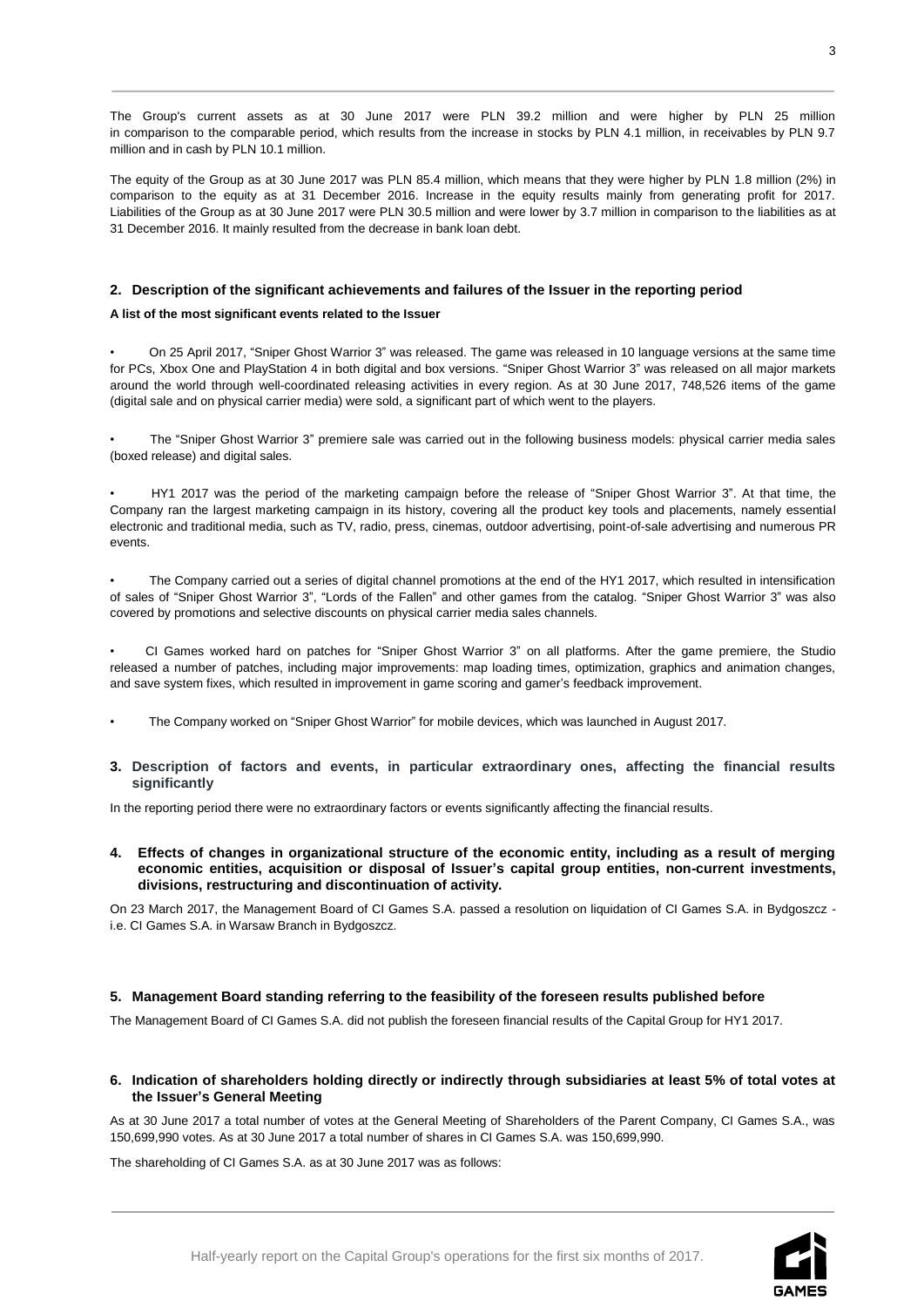The Group's current assets as at 30 June 2017 were PLN 39.2 million and were higher by PLN 25 million in comparison to the comparable period, which results from the increase in stocks by PLN 4.1 million, in receivables by PLN 9.7 million and in cash by PLN 10.1 million.

The equity of the Group as at 30 June 2017 was PLN 85.4 million, which means that they were higher by PLN 1.8 million (2%) in comparison to the equity as at 31 December 2016. Increase in the equity results mainly from generating profit for 2017. Liabilities of the Group as at 30 June 2017 were PLN 30.5 million and were lower by 3.7 million in comparison to the liabilities as at 31 December 2016. It mainly resulted from the decrease in bank loan debt.

# <span id="page-3-0"></span>**2. Description of the significant achievements and failures of the Issuer in the reporting period**

## **A list of the most significant events related to the Issuer**

• On 25 April 2017, "Sniper Ghost Warrior 3" was released. The game was released in 10 language versions at the same time for PCs, Xbox One and PlayStation 4 in both digital and box versions. "Sniper Ghost Warrior 3" was released on all major markets around the world through well-coordinated releasing activities in every region. As at 30 June 2017, 748,526 items of the game (digital sale and on physical carrier media) were sold, a significant part of which went to the players.

• The "Sniper Ghost Warrior 3" premiere sale was carried out in the following business models: physical carrier media sales (boxed release) and digital sales.

• HY1 2017 was the period of the marketing campaign before the release of "Sniper Ghost Warrior 3". At that time, the Company ran the largest marketing campaign in its history, covering all the product key tools and placements, namely essential electronic and traditional media, such as TV, radio, press, cinemas, outdoor advertising, point-of-sale advertising and numerous PR events.

• The Company carried out a series of digital channel promotions at the end of the HY1 2017, which resulted in intensification of sales of "Sniper Ghost Warrior 3", "Lords of the Fallen" and other games from the catalog. "Sniper Ghost Warrior 3" was also covered by promotions and selective discounts on physical carrier media sales channels.

• CI Games worked hard on patches for "Sniper Ghost Warrior 3" on all platforms. After the game premiere, the Studio released a number of patches, including major improvements: map loading times, optimization, graphics and animation changes, and save system fixes, which resulted in improvement in game scoring and gamer's feedback improvement.

- The Company worked on "Sniper Ghost Warrior" for mobile devices, which was launched in August 2017.
- <span id="page-3-1"></span>**3. Description of factors and events, in particular extraordinary ones, affecting the financial results significantly**

In the reporting period there were no extraordinary factors or events significantly affecting the financial results.

<span id="page-3-2"></span>**4. Effects of changes in organizational structure of the economic entity, including as a result of merging economic entities, acquisition or disposal of Issuer's capital group entities, non-current investments, divisions, restructuring and discontinuation of activity.**

On 23 March 2017, the Management Board of CI Games S.A. passed a resolution on liquidation of CI Games S.A. in Bydgoszcz i.e. CI Games S.A. in Warsaw Branch in Bydgoszcz.

# <span id="page-3-3"></span>**5. Management Board standing referring to the feasibility of the foreseen results published before**

The Management Board of CI Games S.A. did not publish the foreseen financial results of the Capital Group for HY1 2017.

# <span id="page-3-4"></span>**6. Indication of shareholders holding directly or indirectly through subsidiaries at least 5% of total votes at the Issuer's General Meeting**

As at 30 June 2017 a total number of votes at the General Meeting of Shareholders of the Parent Company, CI Games S.A., was 150,699,990 votes. As at 30 June 2017 a total number of shares in CI Games S.A. was 150,699,990.

The shareholding of CI Games S.A. as at 30 June 2017 was as follows: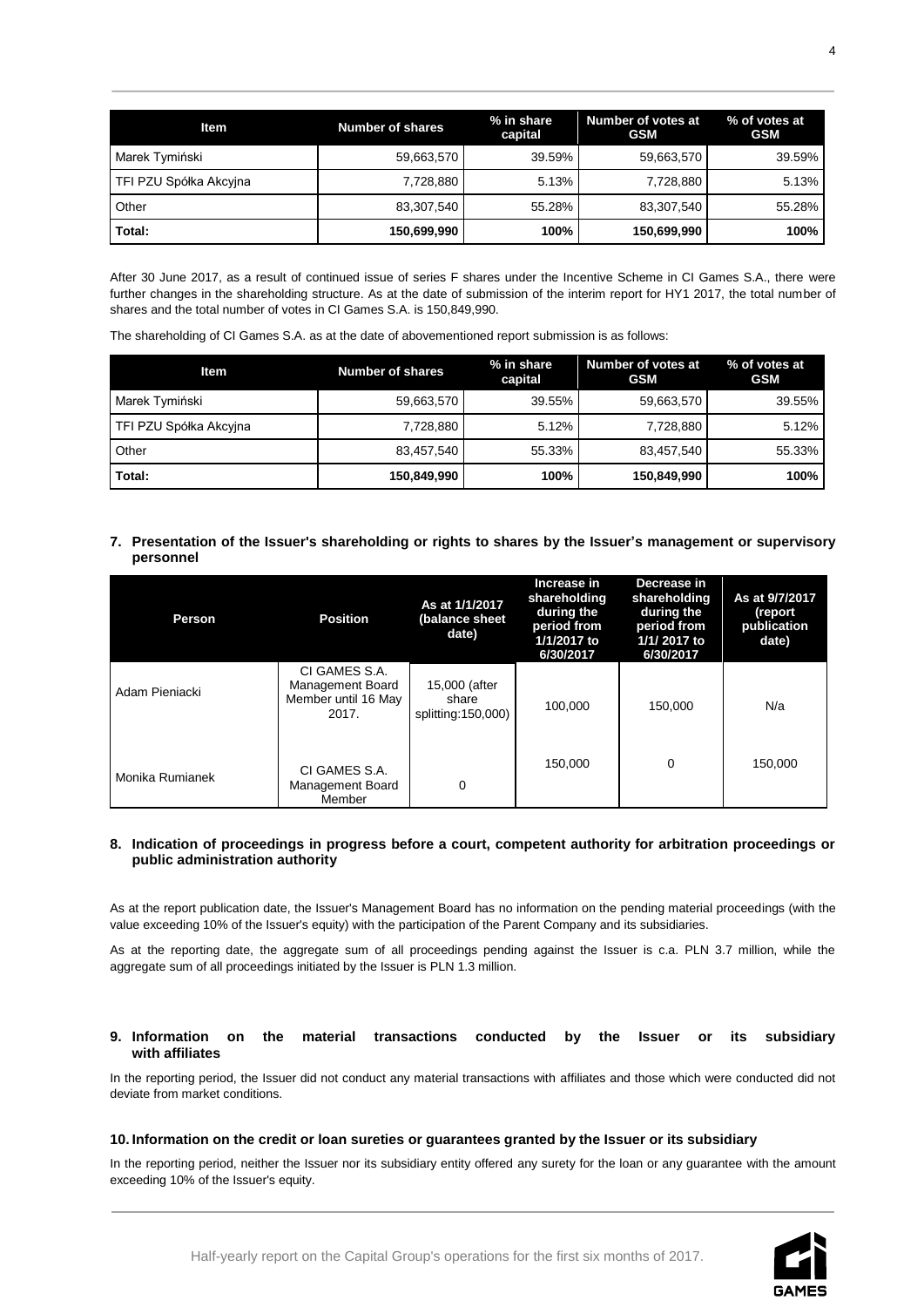| <b>Item</b>            | <b>Number of shares</b> | % in share<br>capital | Number of votes at<br><b>GSM</b> | % of votes at<br><b>GSM</b> |
|------------------------|-------------------------|-----------------------|----------------------------------|-----------------------------|
| Marek Tymiński         | 59,663,570              | 39.59%                | 59,663,570                       | 39.59%                      |
| TFI PZU Spółka Akcyjna | 7,728,880               | 5.13%                 | 7,728,880                        | 5.13%                       |
| Other                  | 83,307,540              | 55.28%                | 83,307,540                       | 55.28%                      |
| Total:                 | 150,699,990             | 100%                  | 150,699,990                      | 100%                        |

After 30 June 2017, as a result of continued issue of series F shares under the Incentive Scheme in CI Games S.A., there were further changes in the shareholding structure. As at the date of submission of the interim report for HY1 2017, the total number of shares and the total number of votes in CI Games S.A. is 150,849,990.

The shareholding of CI Games S.A. as at the date of abovementioned report submission is as follows:

| <b>Item</b>            | <b>Number of shares</b> | % in share<br>capital | Number of votes at<br><b>GSM</b> | % of votes at<br><b>GSM</b> |
|------------------------|-------------------------|-----------------------|----------------------------------|-----------------------------|
| Marek Tymiński         | 59,663,570              | 39.55%                | 59,663,570                       | 39.55%                      |
| TFI PZU Spółka Akcyjna | 7.728.880               | 5.12%                 | 7.728.880                        | 5.12%                       |
| Other                  | 83.457.540              | 55.33%                | 83,457,540                       | 55.33%                      |
| Total:                 | 150,849,990             | 100%                  | 150,849,990                      | 100%                        |

<span id="page-4-0"></span>**7. Presentation of the Issuer's shareholding or rights to shares by the Issuer's management or supervisory personnel**

| Person          | <b>Position</b>                                                   | As at 1/1/2017<br>(balance sheet<br>date)    | Increase in<br>shareholding<br>during the<br>period from<br>1/1/2017 to<br>6/30/2017 | Decrease in<br>shareholding<br>during the<br>period from<br>1/1/2017 to<br>6/30/2017 | As at 9/7/2017<br>(report<br>publication<br>date) |
|-----------------|-------------------------------------------------------------------|----------------------------------------------|--------------------------------------------------------------------------------------|--------------------------------------------------------------------------------------|---------------------------------------------------|
| Adam Pieniacki  | CI GAMES S.A.<br>Management Board<br>Member until 16 May<br>2017. | 15,000 (after<br>share<br>splitting:150,000) | 100.000                                                                              | 150,000                                                                              | N/a                                               |
| Monika Rumianek | CI GAMES S.A.<br>Management Board<br>Member                       | 0                                            | 150.000                                                                              | 0                                                                                    | 150.000                                           |

# <span id="page-4-1"></span>**8. Indication of proceedings in progress before a court, competent authority for arbitration proceedings or public administration authority**

As at the report publication date, the Issuer's Management Board has no information on the pending material proceedings (with the value exceeding 10% of the Issuer's equity) with the participation of the Parent Company and its subsidiaries.

As at the reporting date, the aggregate sum of all proceedings pending against the Issuer is c.a. PLN 3.7 million, while the aggregate sum of all proceedings initiated by the Issuer is PLN 1.3 million.

## <span id="page-4-2"></span>**9. Information on the material transactions conducted by the Issuer or its subsidiary with affiliates**

In the reporting period, the Issuer did not conduct any material transactions with affiliates and those which were conducted did not deviate from market conditions.

# <span id="page-4-3"></span>**10. Information on the credit or loan sureties or guarantees granted by the Issuer or its subsidiary**

In the reporting period, neither the Issuer nor its subsidiary entity offered any surety for the loan or any guarantee with the amount exceeding 10% of the Issuer's equity.

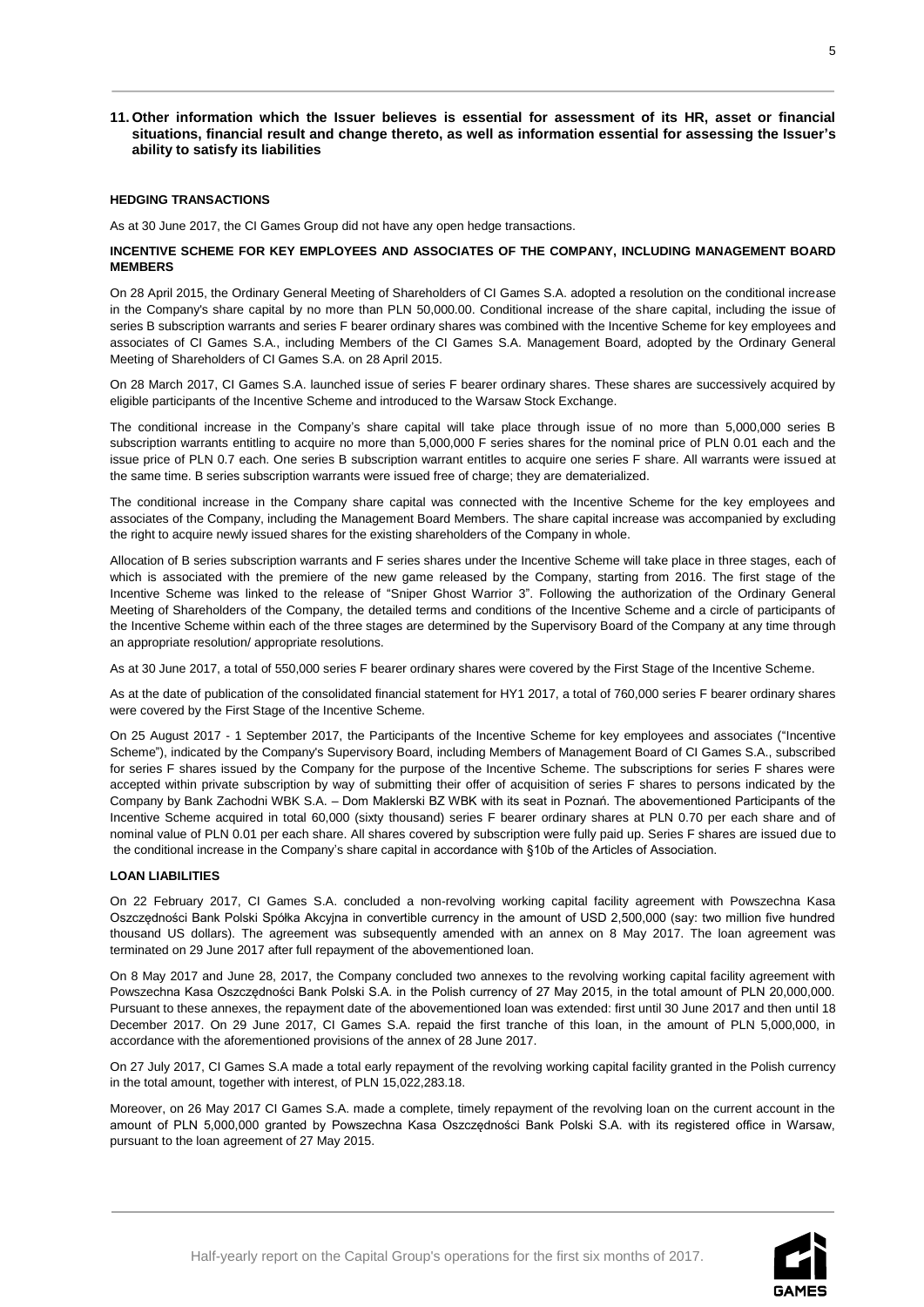## <span id="page-5-0"></span>**11. Other information which the Issuer believes is essential for assessment of its HR, asset or financial situations, financial result and change thereto, as well as information essential for assessing the Issuer's ability to satisfy its liabilities**

# **HEDGING TRANSACTIONS**

As at 30 June 2017, the CI Games Group did not have any open hedge transactions.

## **INCENTIVE SCHEME FOR KEY EMPLOYEES AND ASSOCIATES OF THE COMPANY, INCLUDING MANAGEMENT BOARD MEMBERS**

On 28 April 2015, the Ordinary General Meeting of Shareholders of CI Games S.A. adopted a resolution on the conditional increase in the Company's share capital by no more than PLN 50,000.00. Conditional increase of the share capital, including the issue of series B subscription warrants and series F bearer ordinary shares was combined with the Incentive Scheme for key employees and associates of CI Games S.A., including Members of the CI Games S.A. Management Board, adopted by the Ordinary General Meeting of Shareholders of CI Games S.A. on 28 April 2015.

On 28 March 2017, CI Games S.A. launched issue of series F bearer ordinary shares. These shares are successively acquired by eligible participants of the Incentive Scheme and introduced to the Warsaw Stock Exchange.

The conditional increase in the Company's share capital will take place through issue of no more than 5,000,000 series B subscription warrants entitling to acquire no more than 5,000,000 F series shares for the nominal price of PLN 0.01 each and the issue price of PLN 0.7 each. One series B subscription warrant entitles to acquire one series F share. All warrants were issued at the same time. B series subscription warrants were issued free of charge; they are dematerialized.

The conditional increase in the Company share capital was connected with the Incentive Scheme for the key employees and associates of the Company, including the Management Board Members. The share capital increase was accompanied by excluding the right to acquire newly issued shares for the existing shareholders of the Company in whole.

Allocation of B series subscription warrants and F series shares under the Incentive Scheme will take place in three stages, each of which is associated with the premiere of the new game released by the Company, starting from 2016. The first stage of the Incentive Scheme was linked to the release of "Sniper Ghost Warrior 3". Following the authorization of the Ordinary General Meeting of Shareholders of the Company, the detailed terms and conditions of the Incentive Scheme and a circle of participants of the Incentive Scheme within each of the three stages are determined by the Supervisory Board of the Company at any time through an appropriate resolution/ appropriate resolutions.

As at 30 June 2017, a total of 550,000 series F bearer ordinary shares were covered by the First Stage of the Incentive Scheme.

As at the date of publication of the consolidated financial statement for HY1 2017, a total of 760,000 series F bearer ordinary shares were covered by the First Stage of the Incentive Scheme.

On 25 August 2017 - 1 September 2017, the Participants of the Incentive Scheme for key employees and associates ("Incentive Scheme"), indicated by the Company's Supervisory Board, including Members of Management Board of CI Games S.A., subscribed for series F shares issued by the Company for the purpose of the Incentive Scheme. The subscriptions for series F shares were accepted within private subscription by way of submitting their offer of acquisition of series F shares to persons indicated by the Company by Bank Zachodni WBK S.A. – Dom Maklerski BZ WBK with its seat in Poznań. The abovementioned Participants of the Incentive Scheme acquired in total 60,000 (sixty thousand) series F bearer ordinary shares at PLN 0.70 per each share and of nominal value of PLN 0.01 per each share. All shares covered by subscription were fully paid up. Series F shares are issued due to the conditional increase in the Company's share capital in accordance with §10b of the Articles of Association.

#### **LOAN LIABILITIES**

On 22 February 2017, CI Games S.A. concluded a non-revolving working capital facility agreement with Powszechna Kasa Oszczędności Bank Polski Spółka Akcyjna in convertible currency in the amount of USD 2,500,000 (say: two million five hundred thousand US dollars). The agreement was subsequently amended with an annex on 8 May 2017. The loan agreement was terminated on 29 June 2017 after full repayment of the abovementioned loan.

On 8 May 2017 and June 28, 2017, the Company concluded two annexes to the revolving working capital facility agreement with Powszechna Kasa Oszczędności Bank Polski S.A. in the Polish currency of 27 May 2015, in the total amount of PLN 20,000,000. Pursuant to these annexes, the repayment date of the abovementioned loan was extended: first until 30 June 2017 and then until 18 December 2017. On 29 June 2017, CI Games S.A. repaid the first tranche of this loan, in the amount of PLN 5,000,000, in accordance with the aforementioned provisions of the annex of 28 June 2017.

On 27 July 2017, CI Games S.A made a total early repayment of the revolving working capital facility granted in the Polish currency in the total amount, together with interest, of PLN 15,022,283.18.

Moreover, on 26 May 2017 CI Games S.A. made a complete, timely repayment of the revolving loan on the current account in the amount of PLN 5,000,000 granted by Powszechna Kasa Oszczędności Bank Polski S.A. with its registered office in Warsaw, pursuant to the loan agreement of 27 May 2015.

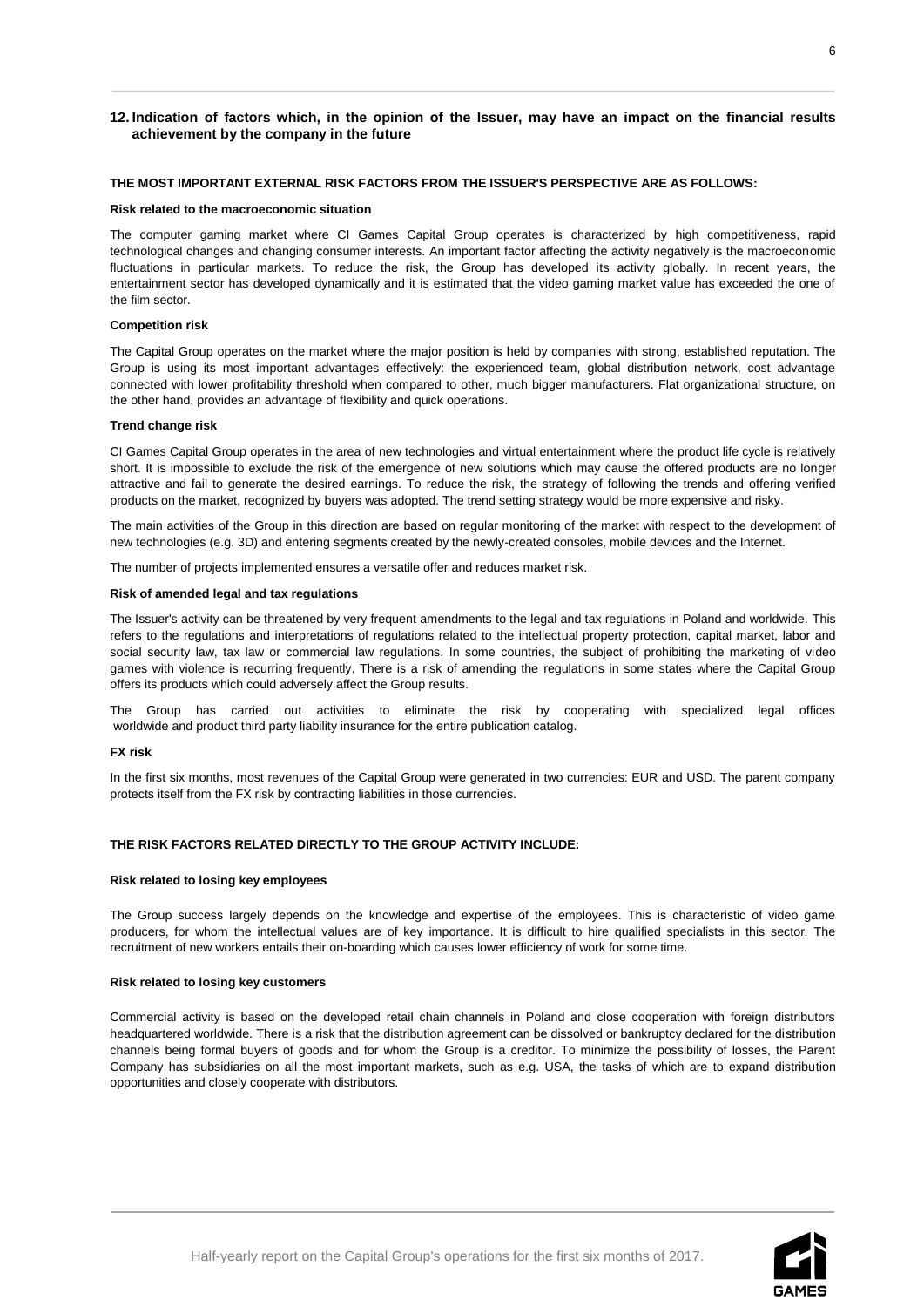# <span id="page-6-0"></span>**12. Indication of factors which, in the opinion of the Issuer, may have an impact on the financial results achievement by the company in the future**

## **THE MOST IMPORTANT EXTERNAL RISK FACTORS FROM THE ISSUER'S PERSPECTIVE ARE AS FOLLOWS:**

#### **Risk related to the macroeconomic situation**

The computer gaming market where CI Games Capital Group operates is characterized by high competitiveness, rapid technological changes and changing consumer interests. An important factor affecting the activity negatively is the macroeconomic fluctuations in particular markets. To reduce the risk, the Group has developed its activity globally. In recent years, the entertainment sector has developed dynamically and it is estimated that the video gaming market value has exceeded the one of the film sector.

#### **Competition risk**

The Capital Group operates on the market where the major position is held by companies with strong, established reputation. The Group is using its most important advantages effectively: the experienced team, global distribution network, cost advantage connected with lower profitability threshold when compared to other, much bigger manufacturers. Flat organizational structure, on the other hand, provides an advantage of flexibility and quick operations.

#### **Trend change risk**

CI Games Capital Group operates in the area of new technologies and virtual entertainment where the product life cycle is relatively short. It is impossible to exclude the risk of the emergence of new solutions which may cause the offered products are no longer attractive and fail to generate the desired earnings. To reduce the risk, the strategy of following the trends and offering verified products on the market, recognized by buyers was adopted. The trend setting strategy would be more expensive and risky.

The main activities of the Group in this direction are based on regular monitoring of the market with respect to the development of new technologies (e.g. 3D) and entering segments created by the newly-created consoles, mobile devices and the Internet.

The number of projects implemented ensures a versatile offer and reduces market risk.

#### **Risk of amended legal and tax regulations**

The Issuer's activity can be threatened by very frequent amendments to the legal and tax regulations in Poland and worldwide. This refers to the regulations and interpretations of regulations related to the intellectual property protection, capital market, labor and social security law, tax law or commercial law regulations. In some countries, the subject of prohibiting the marketing of video games with violence is recurring frequently. There is a risk of amending the regulations in some states where the Capital Group offers its products which could adversely affect the Group results.

The Group has carried out activities to eliminate the risk by cooperating with specialized legal offices worldwide and product third party liability insurance for the entire publication catalog.

#### **FX risk**

In the first six months, most revenues of the Capital Group were generated in two currencies: EUR and USD. The parent company protects itself from the FX risk by contracting liabilities in those currencies.

#### **THE RISK FACTORS RELATED DIRECTLY TO THE GROUP ACTIVITY INCLUDE:**

#### **Risk related to losing key employees**

The Group success largely depends on the knowledge and expertise of the employees. This is characteristic of video game producers, for whom the intellectual values are of key importance. It is difficult to hire qualified specialists in this sector. The recruitment of new workers entails their on-boarding which causes lower efficiency of work for some time.

#### **Risk related to losing key customers**

Commercial activity is based on the developed retail chain channels in Poland and close cooperation with foreign distributors headquartered worldwide. There is a risk that the distribution agreement can be dissolved or bankruptcy declared for the distribution channels being formal buyers of goods and for whom the Group is a creditor. To minimize the possibility of losses, the Parent Company has subsidiaries on all the most important markets, such as e.g. USA, the tasks of which are to expand distribution opportunities and closely cooperate with distributors.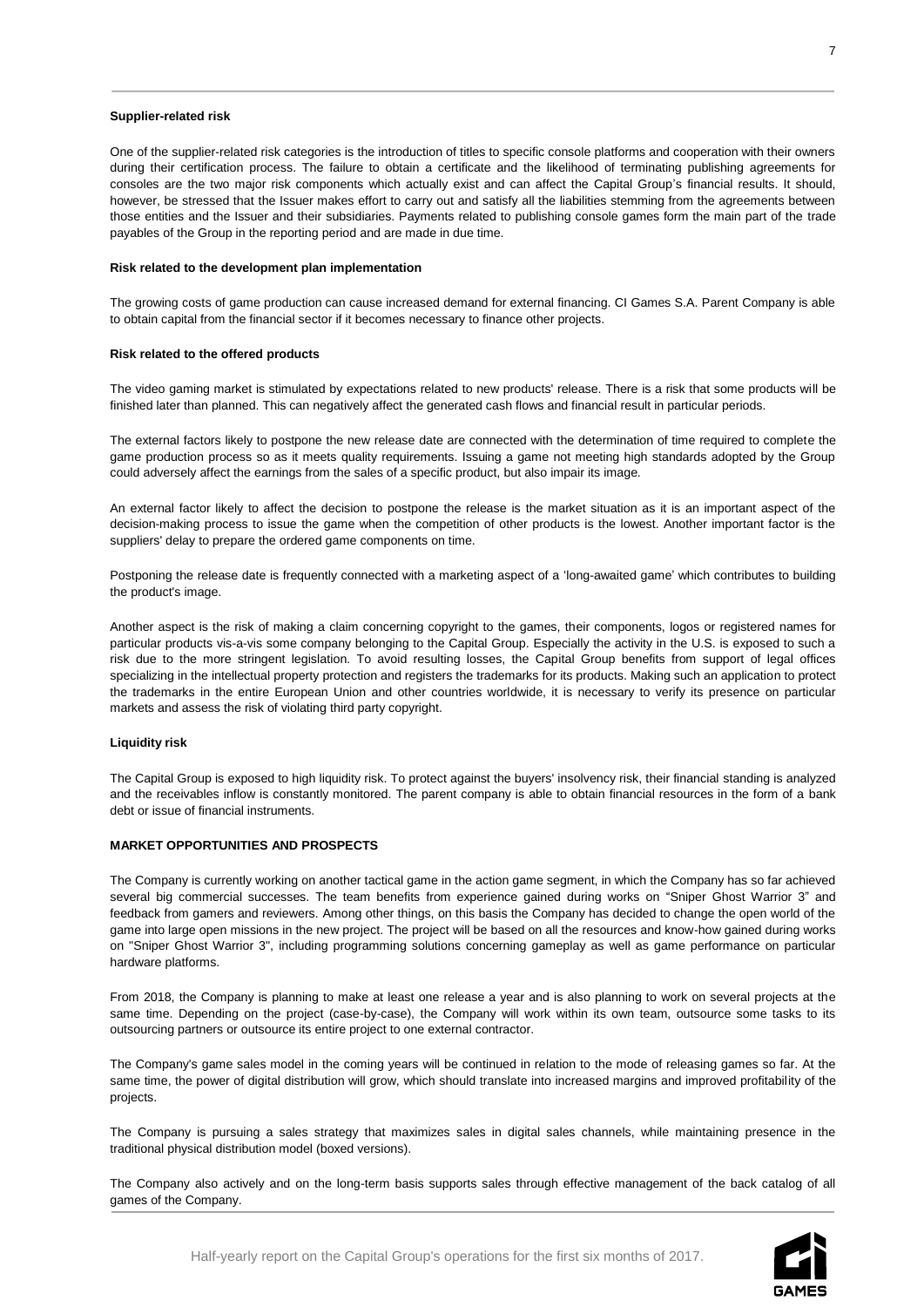#### **Supplier-related risk**

One of the supplier-related risk categories is the introduction of titles to specific console platforms and cooperation with their owners during their certification process. The failure to obtain a certificate and the likelihood of terminating publishing agreements for consoles are the two major risk components which actually exist and can affect the Capital Group's financial results. It should, however, be stressed that the Issuer makes effort to carry out and satisfy all the liabilities stemming from the agreements between those entities and the Issuer and their subsidiaries. Payments related to publishing console games form the main part of the trade payables of the Group in the reporting period and are made in due time.

#### **Risk related to the development plan implementation**

The growing costs of game production can cause increased demand for external financing. CI Games S.A. Parent Company is able to obtain capital from the financial sector if it becomes necessary to finance other projects.

#### **Risk related to the offered products**

The video gaming market is stimulated by expectations related to new products' release. There is a risk that some products will be finished later than planned. This can negatively affect the generated cash flows and financial result in particular periods.

The external factors likely to postpone the new release date are connected with the determination of time required to complete the game production process so as it meets quality requirements. Issuing a game not meeting high standards adopted by the Group could adversely affect the earnings from the sales of a specific product, but also impair its image.

An external factor likely to affect the decision to postpone the release is the market situation as it is an important aspect of the decision-making process to issue the game when the competition of other products is the lowest. Another important factor is the suppliers' delay to prepare the ordered game components on time.

Postponing the release date is frequently connected with a marketing aspect of a 'long-awaited game' which contributes to building the product's image.

Another aspect is the risk of making a claim concerning copyright to the games, their components, logos or registered names for particular products vis-a-vis some company belonging to the Capital Group. Especially the activity in the U.S. is exposed to such a risk due to the more stringent legislation. To avoid resulting losses, the Capital Group benefits from support of legal offices specializing in the intellectual property protection and registers the trademarks for its products. Making such an application to protect the trademarks in the entire European Union and other countries worldwide, it is necessary to verify its presence on particular markets and assess the risk of violating third party copyright.

## **Liquidity risk**

The Capital Group is exposed to high liquidity risk. To protect against the buyers' insolvency risk, their financial standing is analyzed and the receivables inflow is constantly monitored. The parent company is able to obtain financial resources in the form of a bank debt or issue of financial instruments.

## **MARKET OPPORTUNITIES AND PROSPECTS**

The Company is currently working on another tactical game in the action game segment, in which the Company has so far achieved several big commercial successes. The team benefits from experience gained during works on "Sniper Ghost Warrior 3" and feedback from gamers and reviewers. Among other things, on this basis the Company has decided to change the open world of the game into large open missions in the new project. The project will be based on all the resources and know-how gained during works on "Sniper Ghost Warrior 3", including programming solutions concerning gameplay as well as game performance on particular hardware platforms.

From 2018, the Company is planning to make at least one release a year and is also planning to work on several projects at the same time. Depending on the project (case-by-case), the Company will work within its own team, outsource some tasks to its outsourcing partners or outsource its entire project to one external contractor.

The Company's game sales model in the coming years will be continued in relation to the mode of releasing games so far. At the same time, the power of digital distribution will grow, which should translate into increased margins and improved profitability of the projects.

The Company is pursuing a sales strategy that maximizes sales in digital sales channels, while maintaining presence in the traditional physical distribution model (boxed versions).

The Company also actively and on the long-term basis supports sales through effective management of the back catalog of all games of the Company.